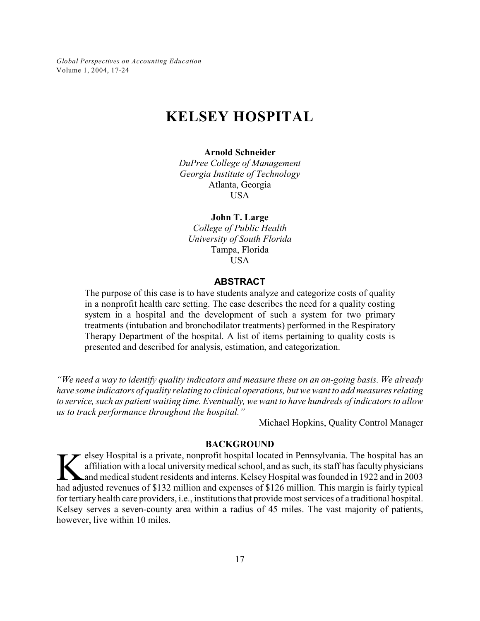*Global Perspectives on Accounting Education* Volume 1, 2004, 17-24

# **KELSEY HOSPITAL**

**Arnold Schneider**

*DuPree College of Management Georgia Institute of Technology* Atlanta, Georgia USA

**John T. Large** *College of Public Health University of South Florida* Tampa, Florida USA

### **ABSTRACT**

The purpose of this case is to have students analyze and categorize costs of quality in a nonprofit health care setting. The case describes the need for a quality costing system in a hospital and the development of such a system for two primary treatments (intubation and bronchodilator treatments) performed in the Respiratory Therapy Department of the hospital. A list of items pertaining to quality costs is presented and described for analysis, estimation, and categorization.

*"We need a way to identify quality indicators and measure these on an on-going basis. We already have some indicators of quality relating to clinical operations, but we want to add measures relating to service, such as patient waiting time. Eventually, we want to have hundreds of indicators to allow us to track performance throughout the hospital."*

Michael Hopkins, Quality Control Manager

#### **BACKGROUND**

Elsey Hospital is a private, nonprofit hospital located in Pennsylvania. The hospital has an affiliation with a local university medical school, and as such, its staff has faculty physicians and medical student residents a  $\rightarrow$  elsey Hospital is a private, nonprofit hospital located in Pennsylvania. The hospital has an affiliation with a local universitymedical school, and as such, its staff has faculty physicians and medical student residents and interns. Kelsey Hospital was founded in 1922 and in 2003 for tertiary health care providers, i.e., institutions that provide most services of a traditional hospital. Kelsey serves a seven-county area within a radius of 45 miles. The vast majority of patients, however, live within 10 miles.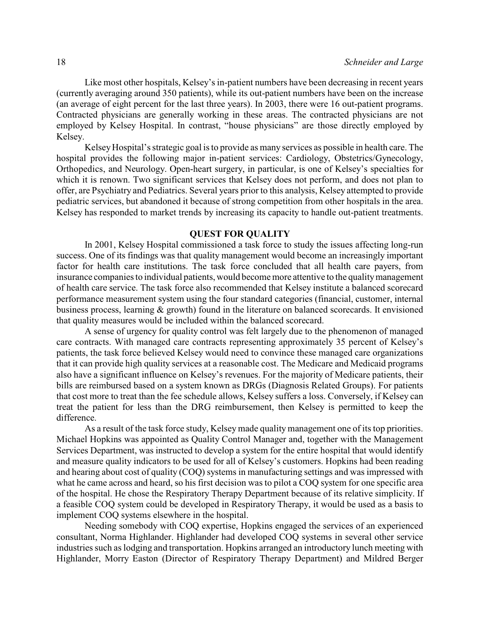Like most other hospitals, Kelsey's in-patient numbers have been decreasing in recent years (currently averaging around 350 patients), while its out-patient numbers have been on the increase (an average of eight percent for the last three years). In 2003, there were 16 out-patient programs. Contracted physicians are generally working in these areas. The contracted physicians are not employed by Kelsey Hospital. In contrast, "house physicians" are those directly employed by Kelsey.

Kelsey Hospital's strategic goal is to provide as many services as possible in health care. The hospital provides the following major in-patient services: Cardiology, Obstetrics/Gynecology, Orthopedics, and Neurology. Open-heart surgery, in particular, is one of Kelsey's specialties for which it is renown. Two significant services that Kelsey does not perform, and does not plan to offer, are Psychiatry and Pediatrics. Several years prior to this analysis, Kelsey attempted to provide pediatric services, but abandoned it because of strong competition from other hospitals in the area. Kelsey has responded to market trends by increasing its capacity to handle out-patient treatments.

## **QUEST FOR QUALITY**

In 2001, Kelsey Hospital commissioned a task force to study the issues affecting long-run success. One of its findings was that quality management would become an increasingly important factor for health care institutions. The task force concluded that all health care payers, from insurance companies to individual patients, would become more attentive to the quality management of health care service. The task force also recommended that Kelsey institute a balanced scorecard performance measurement system using the four standard categories (financial, customer, internal business process, learning & growth) found in the literature on balanced scorecards. It envisioned that quality measures would be included within the balanced scorecard.

A sense of urgency for quality control was felt largely due to the phenomenon of managed care contracts. With managed care contracts representing approximately 35 percent of Kelsey's patients, the task force believed Kelsey would need to convince these managed care organizations that it can provide high quality services at a reasonable cost. The Medicare and Medicaid programs also have a significant influence on Kelsey's revenues. For the majority of Medicare patients, their bills are reimbursed based on a system known as DRGs (Diagnosis Related Groups). For patients that cost more to treat than the fee schedule allows, Kelsey suffers a loss. Conversely, if Kelsey can treat the patient for less than the DRG reimbursement, then Kelsey is permitted to keep the difference.

As a result of the task force study, Kelsey made quality management one of its top priorities. Michael Hopkins was appointed as Quality Control Manager and, together with the Management Services Department, was instructed to develop a system for the entire hospital that would identify and measure quality indicators to be used for all of Kelsey's customers. Hopkins had been reading and hearing about cost of quality (COQ) systems in manufacturing settings and was impressed with what he came across and heard, so his first decision was to pilot a COQ system for one specific area of the hospital. He chose the Respiratory Therapy Department because of its relative simplicity. If a feasible COQ system could be developed in Respiratory Therapy, it would be used as a basis to implement COQ systems elsewhere in the hospital.

Needing somebody with COQ expertise, Hopkins engaged the services of an experienced consultant, Norma Highlander. Highlander had developed COQ systems in several other service industries such as lodging and transportation. Hopkins arranged an introductory lunch meeting with Highlander, Morry Easton (Director of Respiratory Therapy Department) and Mildred Berger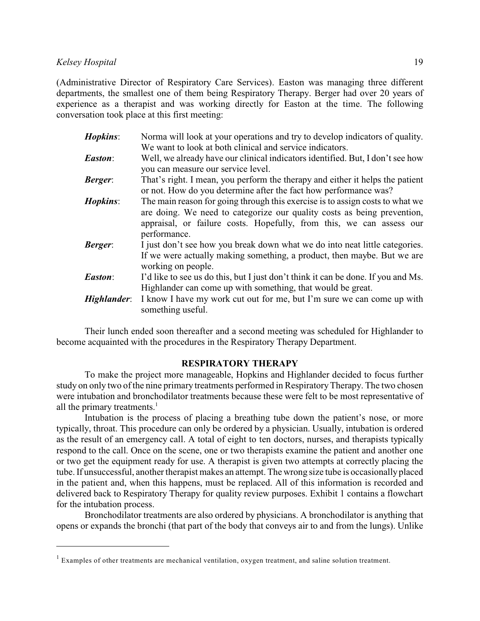#### *Kelsey Hospital* 19

(Administrative Director of Respiratory Care Services). Easton was managing three different departments, the smallest one of them being Respiratory Therapy. Berger had over 20 years of experience as a therapist and was working directly for Easton at the time. The following conversation took place at this first meeting:

| Hopkins:       | Norma will look at your operations and try to develop indicators of quality.                                                                                                                                                                     |
|----------------|--------------------------------------------------------------------------------------------------------------------------------------------------------------------------------------------------------------------------------------------------|
|                | We want to look at both clinical and service indicators.                                                                                                                                                                                         |
| <b>Easton:</b> | Well, we already have our clinical indicators identified. But, I don't see how<br>you can measure our service level.                                                                                                                             |
| Berger:        | That's right. I mean, you perform the therapy and either it helps the patient<br>or not. How do you determine after the fact how performance was?                                                                                                |
| Hopkins:       | The main reason for going through this exercise is to assign costs to what we<br>are doing. We need to categorize our quality costs as being prevention,<br>appraisal, or failure costs. Hopefully, from this, we can assess our<br>performance. |
| <b>Berger:</b> | I just don't see how you break down what we do into neat little categories.<br>If we were actually making something, a product, then maybe. But we are<br>working on people.                                                                     |
| Easton:        | I'd like to see us do this, but I just don't think it can be done. If you and Ms.<br>Highlander can come up with something, that would be great.                                                                                                 |
| Highlander:    | I know I have my work cut out for me, but I'm sure we can come up with<br>something useful.                                                                                                                                                      |

Their lunch ended soon thereafter and a second meeting was scheduled for Highlander to become acquainted with the procedures in the Respiratory Therapy Department.

## **RESPIRATORY THERAPY**

To make the project more manageable, Hopkins and Highlander decided to focus further study on only two of the nine primary treatments performed in Respiratory Therapy. The two chosen were intubation and bronchodilator treatments because these were felt to be most representative of all the primary treatments.<sup>1</sup>

Intubation is the process of placing a breathing tube down the patient's nose, or more typically, throat. This procedure can only be ordered by a physician. Usually, intubation is ordered as the result of an emergency call. A total of eight to ten doctors, nurses, and therapists typically respond to the call. Once on the scene, one or two therapists examine the patient and another one or two get the equipment ready for use. A therapist is given two attempts at correctly placing the tube. If unsuccessful, another therapist makes an attempt. The wrong size tube is occasionally placed in the patient and, when this happens, must be replaced. All of this information is recorded and delivered back to Respiratory Therapy for quality review purposes. Exhibit 1 contains a flowchart for the intubation process.

Bronchodilator treatments are also ordered by physicians. A bronchodilator is anything that opens or expands the bronchi (that part of the body that conveys air to and from the lungs). Unlike

<sup>&</sup>lt;sup>1</sup> Examples of other treatments are mechanical ventilation, oxygen treatment, and saline solution treatment.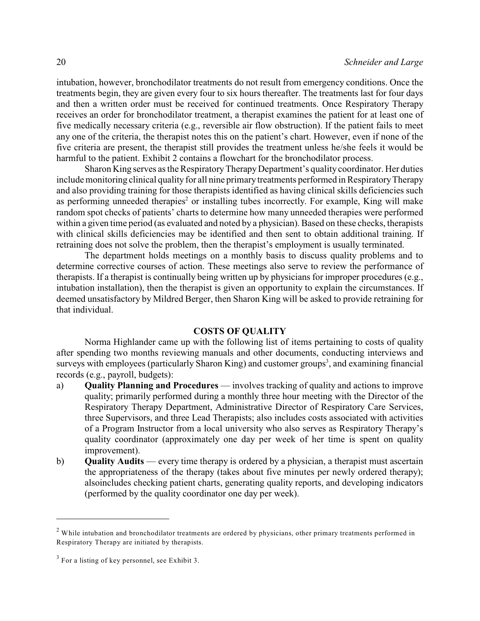intubation, however, bronchodilator treatments do not result from emergency conditions. Once the treatments begin, they are given every four to six hours thereafter. The treatments last for four days and then a written order must be received for continued treatments. Once Respiratory Therapy receives an order for bronchodilator treatment, a therapist examines the patient for at least one of five medically necessary criteria (e.g., reversible air flow obstruction). If the patient fails to meet any one of the criteria, the therapist notes this on the patient's chart. However, even if none of the five criteria are present, the therapist still provides the treatment unless he/she feels it would be harmful to the patient. Exhibit 2 contains a flowchart for the bronchodilator process.

Sharon King serves as the Respiratory Therapy Department's quality coordinator. Her duties include monitoring clinical quality for all nine primarytreatments performed in Respiratory Therapy and also providing training for those therapists identified as having clinical skills deficiencies such as performing unneeded therapies<sup>2</sup> or installing tubes incorrectly. For example, King will make random spot checks of patients' charts to determine how many unneeded therapies were performed within a given time period (as evaluated and noted by a physician). Based on these checks, therapists with clinical skills deficiencies may be identified and then sent to obtain additional training. If retraining does not solve the problem, then the therapist's employment is usually terminated.

The department holds meetings on a monthly basis to discuss quality problems and to determine corrective courses of action. These meetings also serve to review the performance of therapists. If a therapist is continually being written up by physicians for improper procedures (e.g., intubation installation), then the therapist is given an opportunity to explain the circumstances. If deemed unsatisfactory by Mildred Berger, then Sharon King will be asked to provide retraining for that individual.

#### **COSTS OF QUALITY**

Norma Highlander came up with the following list of items pertaining to costs of quality after spending two months reviewing manuals and other documents, conducting interviews and surveys with employees (particularly Sharon King) and customer groups<sup>3</sup>, and examining financial records (e.g., payroll, budgets):

- a) **Quality Planning and Procedures** involves tracking of quality and actions to improve quality; primarily performed during a monthly three hour meeting with the Director of the Respiratory Therapy Department, Administrative Director of Respiratory Care Services, three Supervisors, and three Lead Therapists; also includes costs associated with activities of a Program Instructor from a local university who also serves as Respiratory Therapy's quality coordinator (approximately one day per week of her time is spent on quality improvement).
- b) **Quality Audits** every time therapy is ordered by a physician, a therapist must ascertain the appropriateness of the therapy (takes about five minutes per newly ordered therapy); alsoincludes checking patient charts, generating quality reports, and developing indicators (performed by the quality coordinator one day per week).

 $2$  While intubation and bronchodilator treatments are ordered by physicians, other primary treatments performed in Respiratory Therapy are initiated by therapists.

 $3$  For a listing of key personnel, see Exhibit 3.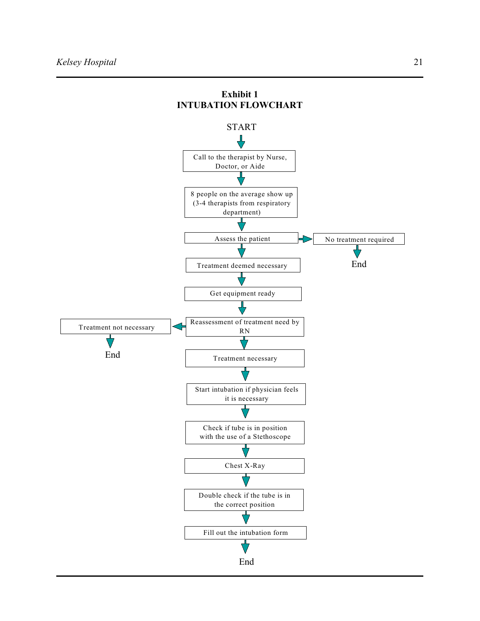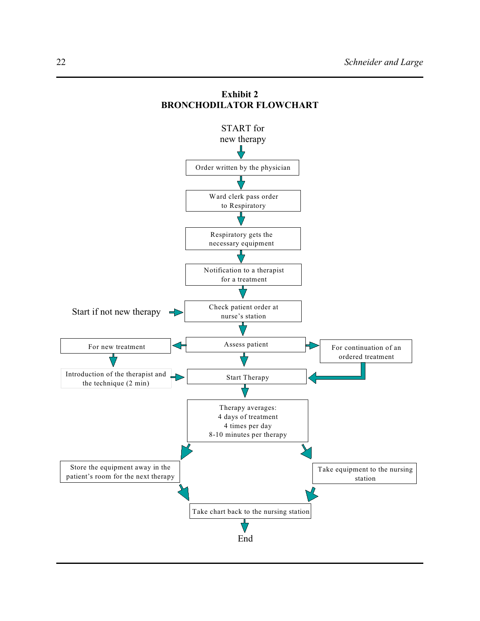

## **Exhibit 2 BRONCHODILATOR FLOWCHART**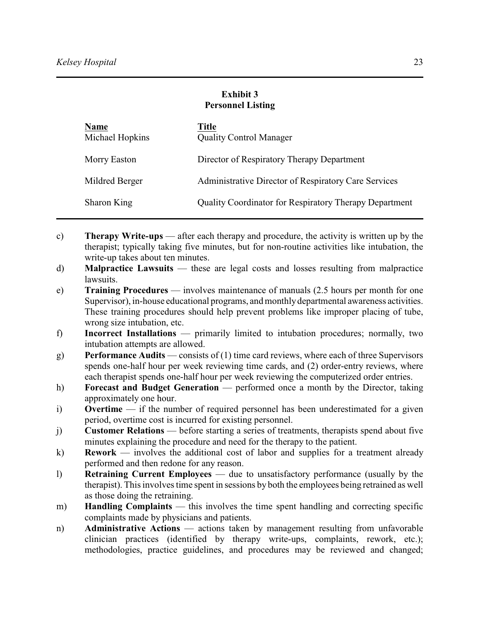## **Exhibit 3 Personnel Listing**

| <b>Name</b><br>Michael Hopkins | <b>Title</b><br><b>Quality Control Manager</b>         |
|--------------------------------|--------------------------------------------------------|
| Morry Easton                   | Director of Respiratory Therapy Department             |
| Mildred Berger                 | Administrative Director of Respiratory Care Services   |
| Sharon King                    | Quality Coordinator for Respiratory Therapy Department |

- c) **Therapy Write-ups** after each therapy and procedure, the activity is written up by the therapist; typically taking five minutes, but for non-routine activities like intubation, the write-up takes about ten minutes.
- d) **Malpractice Lawsuits** these are legal costs and losses resulting from malpractice lawsuits.
- e) **Training Procedures** involves maintenance of manuals (2.5 hours per month for one Supervisor), in-house educational programs, and monthly departmental awareness activities. These training procedures should help prevent problems like improper placing of tube, wrong size intubation, etc.
- f) **Incorrect Installations** primarily limited to intubation procedures; normally, two intubation attempts are allowed.
- g) **Performance Audits** consists of (1) time card reviews, where each of three Supervisors spends one-half hour per week reviewing time cards, and (2) order-entry reviews, where each therapist spends one-half hour per week reviewing the computerized order entries.
- h) **Forecast and Budget Generation** performed once a month by the Director, taking approximately one hour.
- i) **Overtime** if the number of required personnel has been underestimated for a given period, overtime cost is incurred for existing personnel.
- j) **Customer Relations** before starting a series of treatments, therapists spend about five minutes explaining the procedure and need for the therapy to the patient.
- k) **Rework** involves the additional cost of labor and supplies for a treatment already performed and then redone for any reason.
- l) **Retraining Current Employees** due to unsatisfactory performance (usually by the therapist). This involves time spent in sessions by both the employees being retrained as well as those doing the retraining.
- m) **Handling Complaints** this involves the time spent handling and correcting specific complaints made by physicians and patients.
- n) **Administrative Actions** actions taken by management resulting from unfavorable clinician practices (identified by therapy write-ups, complaints, rework, etc.); methodologies, practice guidelines, and procedures may be reviewed and changed;